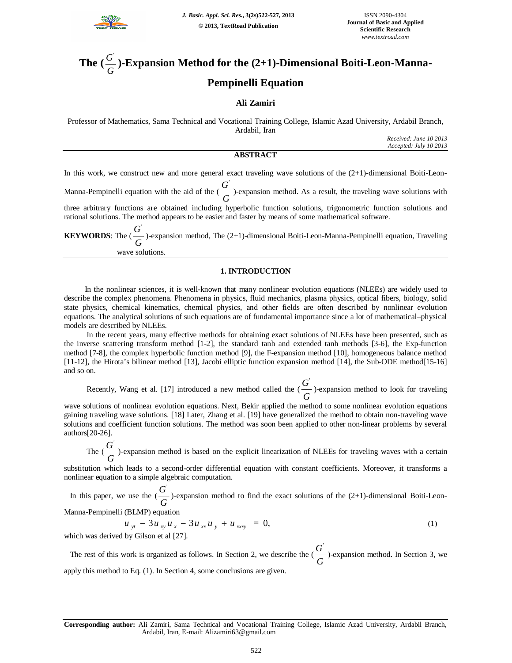

### **The (** *G*  $\frac{G}{G}$ )-Expansion Method for the (2+1)-Dimensional Boiti-Leon-Manna-**Pempinelli Equation**

## **Ali Zamiri**

Professor of Mathematics, Sama Technical and Vocational Training College, Islamic Azad University, Ardabil Branch, Ardabil, Iran

*Received: June 10 2013 Accepted: July 10 2013*

## **ABSTRACT**

In this work, we construct new and more general exact traveling wave solutions of the  $(2+1)$ -dimensional Boiti-Leon-

Manna-Pempinelli equation with the aid of the ( *G*  $\overline{G}$ )-expansion method. As a result, the traveling wave solutions with three arbitrary functions are obtained including hyperbolic function solutions, trigonometric function solutions and

rational solutions. The method appears to be easier and faster by means of some mathematical software. **KEYWORDS**: The ( *G* G  $\frac{G}{G}$ )-expansion method, The (2+1)-dimensional Boiti-Leon-Manna-Pempinelli equation, Traveling wave solutions.

### **1. INTRODUCTION**

 In the nonlinear sciences, it is well-known that many nonlinear evolution equations (NLEEs) are widely used to describe the complex phenomena. Phenomena in physics, fluid mechanics, plasma physics, optical fibers, biology, solid state physics, chemical kinematics, chemical physics, and other fields are often described by nonlinear evolution equations. The analytical solutions of such equations are of fundamental importance since a lot of mathematical–physical models are described by NLEEs.

 In the recent years, many effective methods for obtaining exact solutions of NLEEs have been presented, such as the inverse scattering transform method [1-2], the standard tanh and extended tanh methods [3-6], the Exp-function method [7-8], the complex hyperbolic function method [9], the F-expansion method [10], homogeneous balance method [11-12], the Hirota's bilinear method [13], Jacobi elliptic function expansion method [14], the Sub-ODE method[15-16] and so on.

Recently, Wang et al. [17] introduced a new method called the  $\left(\frac{\epsilon}{G}\right)$  $\frac{G'}{G}$ )-expansion method to look for traveling

wave solutions of nonlinear evolution equations. Next, Bekir applied the method to some nonlinear evolution equations gaining traveling wave solutions. [18] Later, Zhang et al. [19] have generalized the method to obtain non-traveling wave solutions and coefficient function solutions. The method was soon been applied to other non-linear problems by several authors[20-26].

The  $\left(\frac{G}{G}\right)$  $\frac{G'}{G}$ )-expansion method is based on the explicit linearization of NLEEs for traveling waves with a certain

substitution which leads to a second-order differential equation with constant coefficients. Moreover, it transforms a nonlinear equation to a simple algebraic computation.

In this paper, we use the  $\left(\frac{\epsilon}{G}\right)$  $\overline{G}$  )-expansion method to find the exact solutions of the (2+1)-dimensional Boiti-Leon-

Manna-Pempinelli (BLMP) equation

$$
u_{yt} - 3u_{xy}u_x - 3u_{xx}u_y + u_{xxxy} = 0,
$$
 (1)

which was derived by Gilson et al [27].

The rest of this work is organized as follows. In Section 2, we describe the  $\left(\frac{\epsilon}{G}\right)$  $\frac{G^{'}}{G}$ )-expansion method. In Section 3, we apply this method to Eq. (1). In Section 4, some conclusions are given.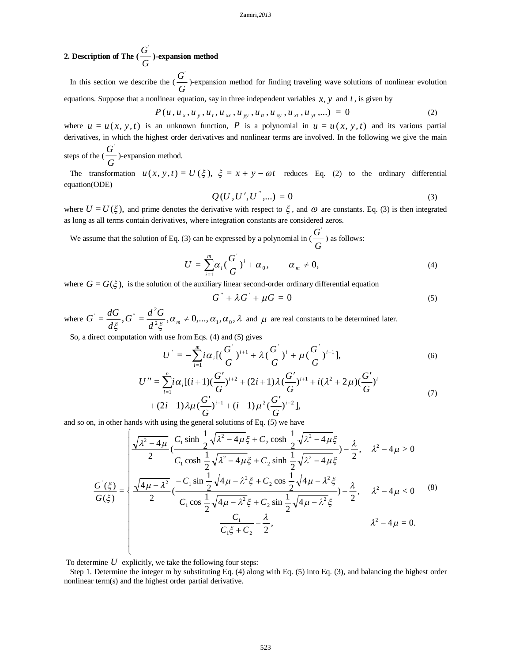# **2. Description of The**  $\left(\frac{\epsilon}{G}\right)$  $\frac{G'}{G}$ )-expansion method

In this section we describe the  $\left(\frac{\epsilon}{G}\right)$  $\overline{G}$  )-expansion method for finding traveling wave solutions of nonlinear evolution equations. Suppose that a nonlinear equation, say in three independent variables  $x$ ,  $y$  and  $t$ , is given by

$$
P(u, u_x, u_y, u_t, u_{xx}, u_{yy}, u_{tt}, u_{xy}, u_{xt}, u_{yt},...)=0
$$
\n(2)

where  $u = u(x, y, t)$  is an unknown function, P is a polynomial in  $u = u(x, y, t)$  and its various partial derivatives, in which the highest order derivatives and nonlinear terms are involved. In the following we give the main steps of the  $(\frac{G}{g})$ -expansion method. *G*

The transformation  $u(x, y, t) = U(\xi)$ ,  $\xi = x + y - \omega t$  reduces Eq. (2) to the ordinary differential equation(ODE)

$$
Q(U, U', U^{''}, \dots) = 0 \tag{3}
$$

*'*

where  $U = U(\xi)$ , and prime denotes the derivative with respect to  $\xi$ , and  $\omega$  are constants. Eq. (3) is then integrated as long as all terms contain derivatives, where integration constants are considered zeros.

We assume that the solution of Eq. (3) can be expressed by a polynomial in  $\left(\frac{\epsilon}{G}\right)$  $\frac{G}{F}$ ) as follows:

$$
U = \sum_{i=1}^{m} \alpha_i \left(\frac{G^{'}}{G}\right)^i + \alpha_0, \qquad \alpha_m \neq 0,
$$
\n(4)

where  $G = G(\xi)$ , is the solution of the auxiliary linear second-order ordinary differential equation

$$
G^{\prime} + \lambda G^{\prime} + \mu G = 0 \tag{5}
$$

where  $G = \frac{dS}{d\Omega}$ ,  $G = \frac{dS}{d\Omega}$ ,  $\alpha_m \neq 0, \dots, \alpha_1, \alpha_0, \lambda$  $\xi$   $d^2\xi$  $=\frac{dS}{d\epsilon}, G'=\frac{dS}{d^2\epsilon}, \alpha_m\neq 0,\dots, \alpha_1,\alpha_0,$ 2  $\alpha' = \frac{d\theta}{dz}, \alpha'' = \frac{d\theta}{dz}, \alpha_m \neq \alpha$ *d*  $G'' = \frac{d^2 G}{d^2 G}$ *d*  $G = \frac{dG}{d\epsilon}$ ,  $G'' = \frac{d^2G}{d\epsilon^2}$ ,  $\alpha_m \neq 0,..., \alpha_1, \alpha_0, \lambda$  and  $\mu$  are real constants to be determined later.

So, a direct computation with use from Eqs. (4) and (5) gives

$$
U' = -\sum_{i=1}^{m} i\alpha_i \left[ \left( \frac{G'}{G} \right)^{i+1} + \lambda \left( \frac{G'}{G} \right)^{i} + \mu \left( \frac{G'}{G} \right)^{i-1} \right],\tag{6}
$$

$$
U'' = \sum_{i=1}^{n} i\alpha_i [(i+1)(\frac{G'}{G})^{i+2} + (2i+1)\lambda (\frac{G'}{G})^{i+1} + i(\lambda^2 + 2\mu)(\frac{G'}{G})^i
$$
  
+  $(2i-1)\lambda\mu (\frac{G'}{G})^{i-1} + (i-1)\mu^2 (\frac{G'}{G})^{i-2}],$  (7)

and so on, in other hands with using the general solutions of Eq. (5) we have

$$
\frac{G'(\xi)}{G(\xi)} = \begin{cases}\n\frac{\sqrt{\lambda^2 - 4\mu}}{2} \frac{C_1 \sinh \frac{1}{2} \sqrt{\lambda^2 - 4\mu} \xi + C_2 \cosh \frac{1}{2} \sqrt{\lambda^2 - 4\mu} \xi}{C_1 \cosh \frac{1}{2} \sqrt{\lambda^2 - 4\mu} \xi + C_2 \sinh \frac{1}{2} \sqrt{\lambda^2 - 4\mu} \xi} - \frac{\lambda}{2}, & \lambda^2 - 4\mu > 0 \\
\frac{G'(\xi)}{G(\xi)} = \begin{cases}\n\frac{\sqrt{4\mu - \lambda^2}}{2} \frac{-C_1 \sin \frac{1}{2} \sqrt{4\mu - \lambda^2} \xi + C_2 \cos \frac{1}{2} \sqrt{4\mu - \lambda^2} \xi}{C_1 \cos \frac{1}{2} \sqrt{4\mu - \lambda^2} \xi + C_2 \sin \frac{1}{2} \sqrt{4\mu - \lambda^2} \xi}\n\end{cases}\n\begin{cases}\n\lambda^2 - 4\mu > 0 \\
\lambda^2 - 4\mu < 0\n\end{cases}\n\end{cases}\n\tag{8}
$$
\n
$$
\frac{C_1}{C_1 \xi + C_2} - \frac{\lambda}{2}, \quad \lambda^2 - 4\mu = 0.
$$

To determine  $U$  explicitly, we take the following four steps:

 Step 1. Determine the integer m by substituting Eq. (4) along with Eq. (5) into Eq. (3), and balancing the highest order nonlinear term(s) and the highest order partial derivative.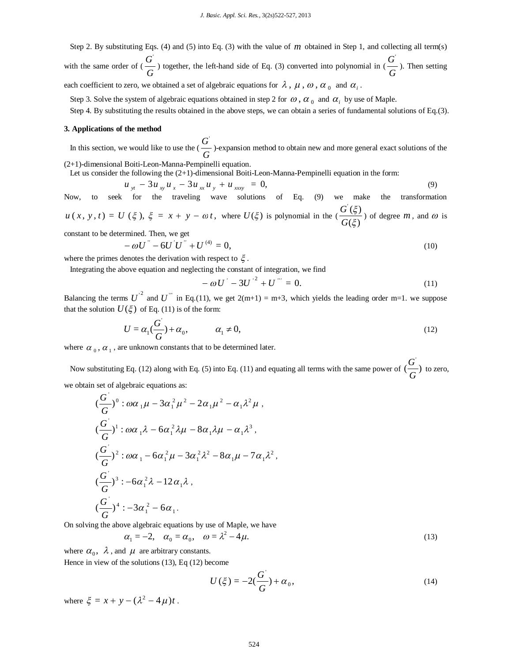Step 2. By substituting Eqs. (4) and (5) into Eq. (3) with the value of *m* obtained in Step 1, and collecting all term(s) with the same order of  $\left(\frac{\epsilon}{G}\right)$  $\frac{G}{G}$ ) together, the left-hand side of Eq. (3) converted into polynomial in ( $\frac{G}{G}$ )  $\frac{G'}{G}$ ). Then setting

each coefficient to zero, we obtained a set of algebraic equations for  $\lambda$ ,  $\mu$ ,  $\omega$ ,  $\alpha$ <sub>0</sub> and  $\alpha$ <sub>i</sub>.

Step 3. Solve the system of algebraic equations obtained in step 2 for  $\omega$ ,  $\alpha_0$  and  $\alpha_i$  by use of Maple.

Step 4. By substituting the results obtained in the above steps, we can obtain a series of fundamental solutions of Eq.(3).

### **3. Applications of the method**

In this section, we would like to use the  $\left(\frac{\epsilon}{G}\right)$  $\overline{G}'$  )-expansion method to obtain new and more general exact solutions of the (2+1)-dimensional Boiti-Leon-Manna-Pempinelli equation.

Let us consider the following the (2+1)-dimensional Boiti-Leon-Manna-Pempinelli equation in the form:

$$
u_{yt} - 3u_{xy}u_x - 3u_{xx}u_y + u_{xxy} = 0, \tag{9}
$$

Now, to seek for the traveling wave solutions of Eq. (9) we make the transformation  $u(x, y, t) = U(\xi), \xi = x + y - \omega t$ , where  $U(\xi)$  is polynomial in the (  $(\xi)$  $(\xi)$ ξ ζ *G*  $\frac{G'(\xi)}{G(\xi)}$  of degree *m*, and  $\omega$  is

constant to be determined. Then, we get

$$
-\omega U^{''} - 6U^{'}U^{''} + U^{(4)} = 0, \qquad (10)
$$

where the primes denotes the derivation with respect to  $\xi$ .

Integrating the above equation and neglecting the constant of integration, we find

$$
-\omega U' - 3U'^2 + U''' = 0.
$$
 (11)

Balancing the terms  $U^{2}$  and  $U^{''}$  in Eq.(11), we get  $2(m+1) = m+3$ , which yields the leading order m=1. we suppose that the solution  $U(\xi)$  of Eq. (11) is of the form:

$$
U = \alpha_1(\frac{G}{G}) + \alpha_0, \qquad \alpha_1 \neq 0,
$$
\n(12)

where  $\alpha_0$ ,  $\alpha_1$ , are unknown constants that to be determined later.

Now substituting Eq. (12) along with Eq. (5) into Eq. (11) and equating all terms with the same power of  $\left(\frac{6}{\epsilon}\right)$ *G*  $\frac{G}{g}$  to zero,

we obtain set of algebraic equations as:

$$
(\frac{G}{G})^0 : \omega \alpha_1 \mu - 3\alpha_1^2 \mu^2 - 2\alpha_1 \mu^2 - \alpha_1 \lambda^2 \mu ,
$$
  
\n
$$
(\frac{G}{G})^1 : \omega \alpha_1 \lambda - 6\alpha_1^2 \lambda \mu - 8\alpha_1 \lambda \mu - \alpha_1 \lambda^3 ,
$$
  
\n
$$
(\frac{G}{G})^2 : \omega \alpha_1 - 6\alpha_1^2 \mu - 3\alpha_1^2 \lambda^2 - 8\alpha_1 \mu - 7\alpha_1 \lambda^2 ,
$$
  
\n
$$
(\frac{G}{G})^3 : -6\alpha_1^2 \lambda - 12\alpha_1 \lambda ,
$$
  
\n
$$
(\frac{G}{G})^4 : -3\alpha_1^2 - 6\alpha_1 .
$$

On solving the above algebraic equations by use of Maple, we have

$$
\alpha_1 = -2, \quad \alpha_0 = \alpha_0, \quad \omega = \lambda^2 - 4\mu. \tag{13}
$$

where  $\alpha_0$ ,  $\lambda$ , and  $\mu$  are arbitrary constants. Hence in view of the solutions (13), Eq (12) become

$$
U(\xi) = -2(\frac{G'}{G}) + \alpha_0,
$$
\n(14)

where  $\xi = x + y - (\lambda^2 - 4\mu)t$ .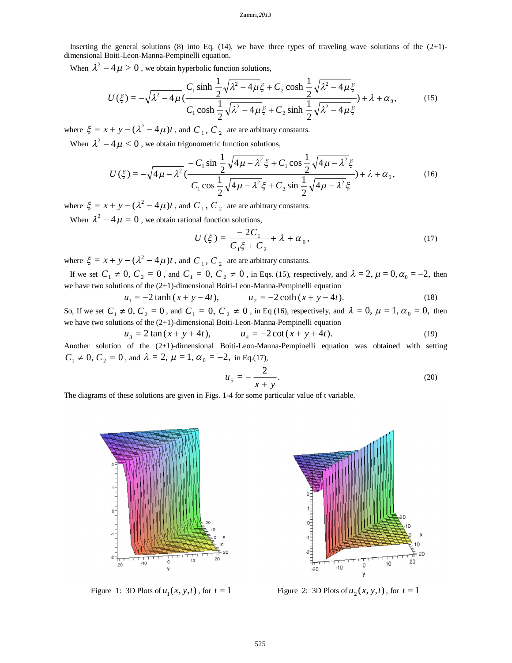#### Zamiri*,2013*

Inserting the general solutions (8) into Eq. (14), we have three types of traveling wave solutions of the  $(2+1)$ dimensional Boiti-Leon-Manna-Pempinelli equation.

When  $\lambda^2 - 4\mu > 0$ , we obtain hyperbolic function solutions,

$$
U(\xi) = -\sqrt{\lambda^2 - 4\mu} \left( \frac{C_1 \sinh \frac{1}{2} \sqrt{\lambda^2 - 4\mu} \xi + C_2 \cosh \frac{1}{2} \sqrt{\lambda^2 - 4\mu} \xi}{C_1 \cosh \frac{1}{2} \sqrt{\lambda^2 - 4\mu} \xi + C_2 \sinh \frac{1}{2} \sqrt{\lambda^2 - 4\mu} \xi} \right) + \lambda + \alpha_0,
$$
 (15)

where  $\xi = x + y - (\lambda^2 - 4\mu)t$ , and  $C_1$ ,  $C_2$  are are arbitrary constants.

When  $\lambda^2 - 4\mu < 0$ , we obtain trigonometric function solutions,

$$
U(\xi) = -\sqrt{4\mu - \lambda^2} \left( \frac{-C_1 \sin \frac{1}{2} \sqrt{4\mu - \lambda^2} \xi + C_1 \cos \frac{1}{2} \sqrt{4\mu - \lambda^2} \xi}{C_1 \cos \frac{1}{2} \sqrt{4\mu - \lambda^2} \xi + C_2 \sin \frac{1}{2} \sqrt{4\mu - \lambda^2} \xi} \right) + \lambda + \alpha_0,
$$
(16)

where  $\xi = x + y - (\lambda^2 - 4\mu)t$ , and  $C_1$ ,  $C_2$  are are arbitrary constants.

When  $\lambda^2 - 4\mu = 0$ , we obtain rational function solutions,

$$
U(\xi) = \frac{-2C_1}{C_1\xi + C_2} + \lambda + \alpha_0,
$$
\n(17)

where  $\xi = x + y - (\lambda^2 - 4\mu)t$ , and  $C_1$ ,  $C_2$  are are arbitrary constants.

If we set  $C_1 \neq 0$ ,  $C_2 = 0$ , and  $C_1 = 0$ ,  $C_2 \neq 0$ , in Eqs. (15), respectively, and  $\lambda = 2$ ,  $\mu = 0$ ,  $\alpha_0 = -2$ , then we have two solutions of the (2+1)-dimensional Boiti-Leon-Manna-Pempinelli equation

$$
u_1 = -2 \tanh(x + y - 4t), \qquad u_2 = -2 \coth(x + y - 4t). \tag{18}
$$

So, If we set  $C_1 \neq 0$ ,  $C_2 = 0$ , and  $C_1 = 0$ ,  $C_2 \neq 0$ , in Eq (16), respectively, and  $\lambda = 0$ ,  $\mu = 1$ ,  $\alpha_0 = 0$ , then we have two solutions of the (2+1)-dimensional Boiti-Leon-Manna-Pempinelli equation

$$
u_3 = 2 \tan(x + y + 4t), \qquad u_4 = -2 \cot(x + y + 4t). \tag{19}
$$

Another solution of the (2+1)-dimensional Boiti-Leon-Manna-Pempinelli equation was obtained with setting  $C_1 \neq 0, C_2 = 0$ , and  $\lambda = 2, \mu = 1, \alpha_0 = -2$ , in Eq.(17),

$$
u_5 = -\frac{2}{x+y}.\tag{20}
$$

The diagrams of these solutions are given in Figs. 1-4 for some particular value of t variable.



Figure 1: 3D Plots of  $u_1(x, y, t)$ 



 $u_1(x, y, t)$ , for  $t = 1$  Figure 2: 3D Plots of  $u_2(x, y, t)$ , for  $t = 1$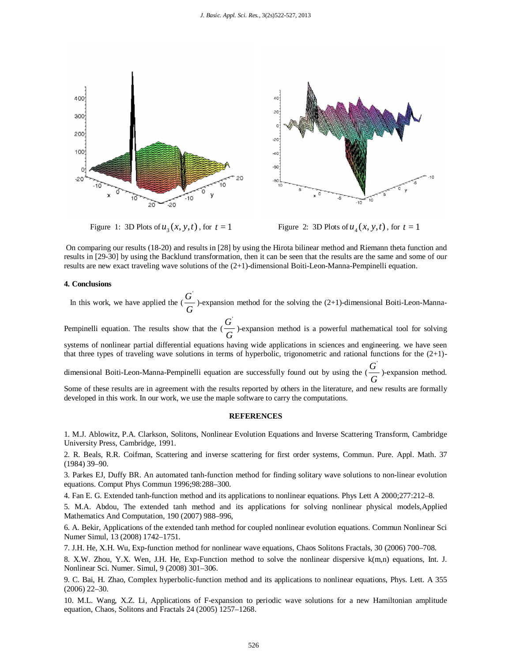

Figure 1: 3D Plots of  $u_3(x, y, t)$  $u_3(x, y, t)$ , for  $t = 1$  Figure 2: 3D Plots of  $u_4(x, y, t)$ , for  $t = 1$ 

On comparing our results (18-20) and results in [28] by using the Hirota bilinear method and Riemann theta function and results in [29-30] by using the Backlund transformation, then it can be seen that the results are the same and some of our results are new exact traveling wave solutions of the (2+1)-dimensional Boiti-Leon-Manna-Pempinelli equation.

### **4. Conclusions**

In this work, we have applied the  $\left(\frac{\sigma}{G}\right)$  $\frac{G}{G}$ )-expansion method for the solving the (2+1)-dimensional Boiti-Leon-Manna-Pempinelli equation. The results show that the  $\left(\frac{\epsilon}{G}\right)$  $\frac{G'}{G}$ )-expansion method is a powerful mathematical tool for solving systems of nonlinear partial differential equations having wide applications in sciences and engineering. we have seen that three types of traveling wave solutions in terms of hyperbolic, trigonometric and rational functions for the (2+1) dimensional Boiti-Leon-Manna-Pempinelli equation are successfully found out by using the ( *G*  $\frac{G'}{G}$ )-expansion method. Some of these results are in agreement with the results reported by others in the literature, and new results are formally

developed in this work. In our work, we use the maple software to carry the computations.

### **REFERENCES**

1. M.J. Ablowitz, P.A. Clarkson, Solitons, Nonlinear Evolution Equations and Inverse Scattering Transform, Cambridge University Press, Cambridge, 1991.

2. R. Beals, R.R. Coifman, Scattering and inverse scattering for first order systems, Commun. Pure. Appl. Math. 37 (1984) 39–90.

3. Parkes EJ, Duffy BR. An automated tanh-function method for finding solitary wave solutions to non-linear evolution equations. Comput Phys Commun 1996;98:288–300.

4. Fan E. G. Extended tanh-function method and its applications to nonlinear equations. Phys Lett A 2000;277:212–8.

5. M.A. Abdou, The extended tanh method and its applications for solving nonlinear physical models,Applied Mathematics And Computation, 190 (2007) 988–996,

6. A. Bekir, Applications of the extended tanh method for coupled nonlinear evolution equations. Commun Nonlinear Sci Numer Simul, 13 (2008) 1742–1751.

7. J.H. He, X.H. Wu, Exp-function method for nonlinear wave equations, Chaos Solitons Fractals, 30 (2006) 700–708.

8. X.W. Zhou, Y.X. Wen, J.H. He, Exp-Function method to solve the nonlinear dispersive k(m,n) equations, Int. J. Nonlinear Sci. Numer. Simul, 9 (2008) 301–306.

9. C. Bai, H. Zhao, Complex hyperbolic-function method and its applications to nonlinear equations, Phys. Lett. A 355 (2006) 22–30.

10. M.L. Wang, X.Z. Li, Applications of F-expansion to periodic wave solutions for a new Hamiltonian amplitude equation, Chaos, Solitons and Fractals 24 (2005) 1257–1268.